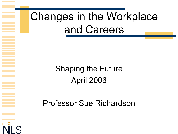## Changes in the Workplace and Careers

#### Shaping the Future April 2006

Professor Sue Richardson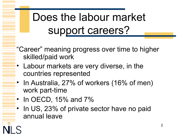# Does the labour market support careers?

- "Career" meaning progress over time to higher skilled/paid work
- Labour markets are very diverse, in the countries represented
- In Australia, 27% of workers (16% of men) work part-time
- In OECD, 15% and 7%
- In US, 23% of private sector have no paid annual leave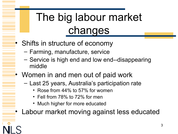# The big labour market changes

- Shifts in structure of economy
	- Farming, manufacture, service
	- Service is high end and low end--disappearing middle
- Women in and men out of paid work
	- Last 25 years, Australia's participation rate
		- Rose from 44% to 57% for women
		- Fell from 78% to 72% for men
		- Much higher for more educated

• Labour market moving against less educated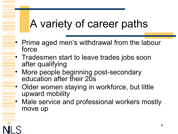## A variety of career paths

- Prime aged men's withdrawal from the labour force
- Tradesmen start to leave trades jobs soon after qualifying
- More people beginning post-secondary education after their 20s
- Older women staying in workforce, but little upward mobility
- Male service and professional workers mostly move up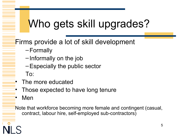#### Who gets skill upgrades?

#### Firms provide a lot of skill development

- –Formally
- –Informally on the job
- –Especially the public sector
- To:
- The more educated
- Those expected to have long tenure
- Men

Note that workforce becoming more female and contingent (casual, contract, labour hire, self-employed sub-contractors)